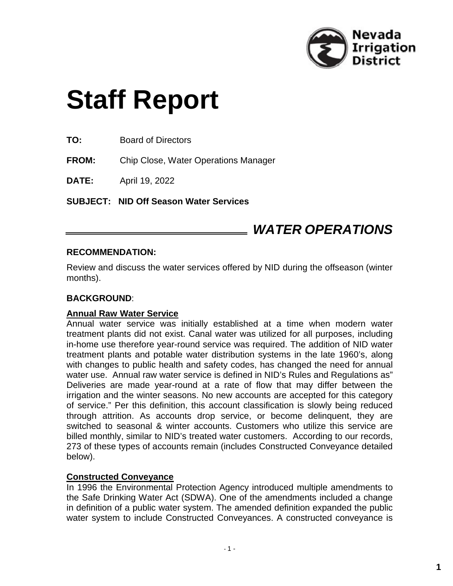

# **Staff Report**

**TO:** Board of Directors

**FROM:** Chip Close, Water Operations Manager

**DATE:** April 19, 2022

**SUBJECT: NID Off Season Water Services** 

## *WATER OPERATIONS*

#### **RECOMMENDATION:**

Review and discuss the water services offered by NID during the offseason (winter months).

#### **BACKGROUND**:

#### **Annual Raw Water Service**

Annual water service was initially established at a time when modern water treatment plants did not exist. Canal water was utilized for all purposes, including in-home use therefore year-round service was required. The addition of NID water treatment plants and potable water distribution systems in the late 1960's, along with changes to public health and safety codes, has changed the need for annual water use. Annual raw water service is defined in NID's Rules and Regulations as" Deliveries are made year-round at a rate of flow that may differ between the irrigation and the winter seasons. No new accounts are accepted for this category of service." Per this definition, this account classification is slowly being reduced through attrition. As accounts drop service, or become delinquent, they are switched to seasonal & winter accounts. Customers who utilize this service are billed monthly, similar to NID's treated water customers. According to our records, 273 of these types of accounts remain (includes Constructed Conveyance detailed below).

#### **Constructed Conveyance**

In 1996 the Environmental Protection Agency introduced multiple amendments to the Safe Drinking Water Act (SDWA). One of the amendments included a change in definition of a public water system. The amended definition expanded the public water system to include Constructed Conveyances. A constructed conveyance is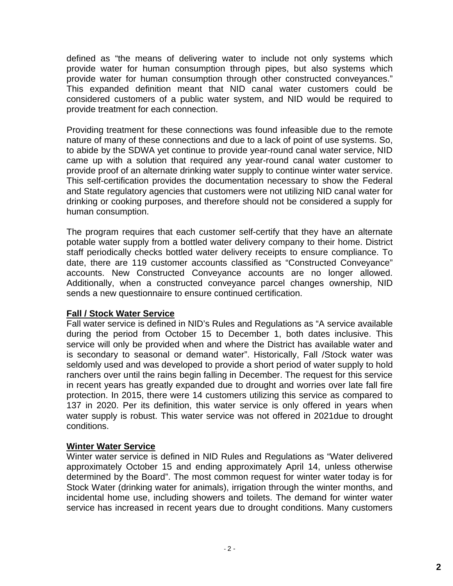defined as "the means of delivering water to include not only systems which provide water for human consumption through pipes, but also systems which provide water for human consumption through other constructed conveyances." This expanded definition meant that NID canal water customers could be considered customers of a public water system, and NID would be required to provide treatment for each connection.

Providing treatment for these connections was found infeasible due to the remote nature of many of these connections and due to a lack of point of use systems. So, to abide by the SDWA yet continue to provide year-round canal water service, NID came up with a solution that required any year-round canal water customer to provide proof of an alternate drinking water supply to continue winter water service. This self-certification provides the documentation necessary to show the Federal and State regulatory agencies that customers were not utilizing NID canal water for drinking or cooking purposes, and therefore should not be considered a supply for human consumption.

The program requires that each customer self-certify that they have an alternate potable water supply from a bottled water delivery company to their home. District staff periodically checks bottled water delivery receipts to ensure compliance. To date, there are 119 customer accounts classified as "Constructed Conveyance" accounts. New Constructed Conveyance accounts are no longer allowed. Additionally, when a constructed conveyance parcel changes ownership, NID sends a new questionnaire to ensure continued certification.

### **Fall / Stock Water Service**

Fall water service is defined in NID's Rules and Regulations as "A service available during the period from October 15 to December 1, both dates inclusive. This service will only be provided when and where the District has available water and is secondary to seasonal or demand water". Historically, Fall /Stock water was seldomly used and was developed to provide a short period of water supply to hold ranchers over until the rains begin falling in December. The request for this service in recent years has greatly expanded due to drought and worries over late fall fire protection. In 2015, there were 14 customers utilizing this service as compared to 137 in 2020. Per its definition, this water service is only offered in years when water supply is robust. This water service was not offered in 2021due to drought conditions.

#### **Winter Water Service**

Winter water service is defined in NID Rules and Regulations as "Water delivered approximately October 15 and ending approximately April 14, unless otherwise determined by the Board". The most common request for winter water today is for Stock Water (drinking water for animals), irrigation through the winter months, and incidental home use, including showers and toilets. The demand for winter water service has increased in recent years due to drought conditions. Many customers